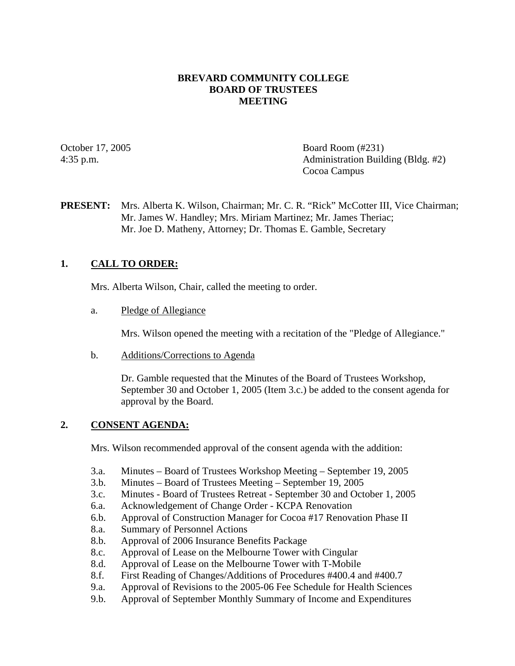## **BREVARD COMMUNITY COLLEGE BOARD OF TRUSTEES MEETING**

October 17, 2005 Board Room (#231) 4:35 p.m. Administration Building (Bldg. #2) Cocoa Campus

**PRESENT:** Mrs. Alberta K. Wilson, Chairman; Mr. C. R. "Rick" McCotter III, Vice Chairman; Mr. James W. Handley; Mrs. Miriam Martinez; Mr. James Theriac; Mr. Joe D. Matheny, Attorney; Dr. Thomas E. Gamble, Secretary

# **1. CALL TO ORDER:**

Mrs. Alberta Wilson, Chair, called the meeting to order.

a. Pledge of Allegiance

Mrs. Wilson opened the meeting with a recitation of the "Pledge of Allegiance."

b. Additions/Corrections to Agenda

Dr. Gamble requested that the Minutes of the Board of Trustees Workshop, September 30 and October 1, 2005 (Item 3.c.) be added to the consent agenda for approval by the Board.

## **2. CONSENT AGENDA:**

Mrs. Wilson recommended approval of the consent agenda with the addition:

- 3.a. Minutes Board of Trustees Workshop Meeting September 19, 2005
- 3.b. Minutes Board of Trustees Meeting September 19, 2005
- 3.c. Minutes Board of Trustees Retreat September 30 and October 1, 2005
- 6.a. Acknowledgement of Change Order KCPA Renovation
- 6.b. Approval of Construction Manager for Cocoa #17 Renovation Phase II
- 8.a. Summary of Personnel Actions
- 8.b. Approval of 2006 Insurance Benefits Package
- 8.c. Approval of Lease on the Melbourne Tower with Cingular
- 8.d. Approval of Lease on the Melbourne Tower with T-Mobile
- 8.f. First Reading of Changes/Additions of Procedures #400.4 and #400.7
- 9.a. Approval of Revisions to the 2005-06 Fee Schedule for Health Sciences
- 9.b. Approval of September Monthly Summary of Income and Expenditures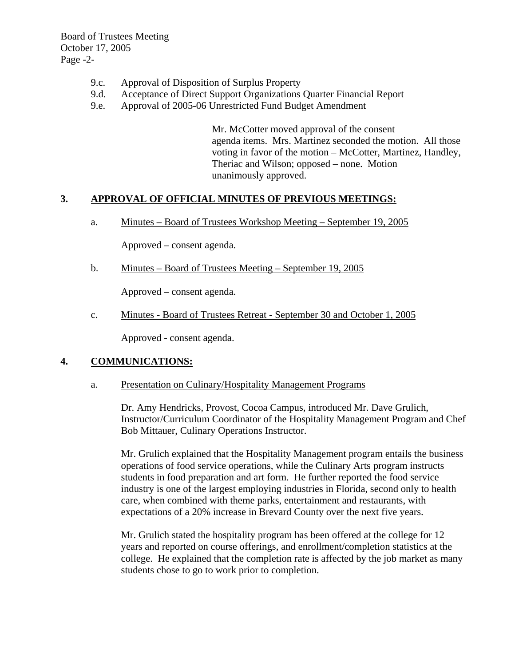Board of Trustees Meeting October 17, 2005 Page -2-

- 9.c. Approval of Disposition of Surplus Property
- 9.d. Acceptance of Direct Support Organizations Quarter Financial Report
- 9.e. Approval of 2005-06 Unrestricted Fund Budget Amendment

Mr. McCotter moved approval of the consent agenda items. Mrs. Martinez seconded the motion. All those voting in favor of the motion – McCotter, Martinez, Handley, Theriac and Wilson; opposed – none. Motion unanimously approved.

## **3. APPROVAL OF OFFICIAL MINUTES OF PREVIOUS MEETINGS:**

a. Minutes – Board of Trustees Workshop Meeting – September 19, 2005

Approved – consent agenda.

b. Minutes – Board of Trustees Meeting – September 19, 2005

Approved – consent agenda.

c. Minutes - Board of Trustees Retreat - September 30 and October 1, 2005

Approved - consent agenda.

# **4. COMMUNICATIONS:**

a. Presentation on Culinary/Hospitality Management Programs

Dr. Amy Hendricks, Provost, Cocoa Campus, introduced Mr. Dave Grulich, Instructor/Curriculum Coordinator of the Hospitality Management Program and Chef Bob Mittauer, Culinary Operations Instructor.

Mr. Grulich explained that the Hospitality Management program entails the business operations of food service operations, while the Culinary Arts program instructs students in food preparation and art form. He further reported the food service industry is one of the largest employing industries in Florida, second only to health care, when combined with theme parks, entertainment and restaurants, with expectations of a 20% increase in Brevard County over the next five years.

Mr. Grulich stated the hospitality program has been offered at the college for 12 years and reported on course offerings, and enrollment/completion statistics at the college. He explained that the completion rate is affected by the job market as many students chose to go to work prior to completion.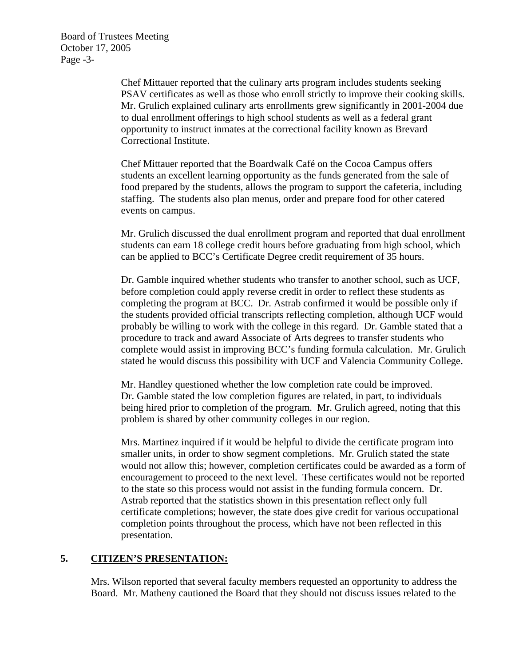Board of Trustees Meeting October 17, 2005 Page -3-

> Chef Mittauer reported that the culinary arts program includes students seeking PSAV certificates as well as those who enroll strictly to improve their cooking skills. Mr. Grulich explained culinary arts enrollments grew significantly in 2001-2004 due to dual enrollment offerings to high school students as well as a federal grant opportunity to instruct inmates at the correctional facility known as Brevard Correctional Institute.

> Chef Mittauer reported that the Boardwalk Café on the Cocoa Campus offers students an excellent learning opportunity as the funds generated from the sale of food prepared by the students, allows the program to support the cafeteria, including staffing. The students also plan menus, order and prepare food for other catered events on campus.

> Mr. Grulich discussed the dual enrollment program and reported that dual enrollment students can earn 18 college credit hours before graduating from high school, which can be applied to BCC's Certificate Degree credit requirement of 35 hours.

> Dr. Gamble inquired whether students who transfer to another school, such as UCF, before completion could apply reverse credit in order to reflect these students as completing the program at BCC. Dr. Astrab confirmed it would be possible only if the students provided official transcripts reflecting completion, although UCF would probably be willing to work with the college in this regard. Dr. Gamble stated that a procedure to track and award Associate of Arts degrees to transfer students who complete would assist in improving BCC's funding formula calculation. Mr. Grulich stated he would discuss this possibility with UCF and Valencia Community College.

Mr. Handley questioned whether the low completion rate could be improved. Dr. Gamble stated the low completion figures are related, in part, to individuals being hired prior to completion of the program. Mr. Grulich agreed, noting that this problem is shared by other community colleges in our region.

Mrs. Martinez inquired if it would be helpful to divide the certificate program into smaller units, in order to show segment completions. Mr. Grulich stated the state would not allow this; however, completion certificates could be awarded as a form of encouragement to proceed to the next level. These certificates would not be reported to the state so this process would not assist in the funding formula concern. Dr. Astrab reported that the statistics shown in this presentation reflect only full certificate completions; however, the state does give credit for various occupational completion points throughout the process, which have not been reflected in this presentation.

## **5. CITIZEN'S PRESENTATION:**

Mrs. Wilson reported that several faculty members requested an opportunity to address the Board. Mr. Matheny cautioned the Board that they should not discuss issues related to the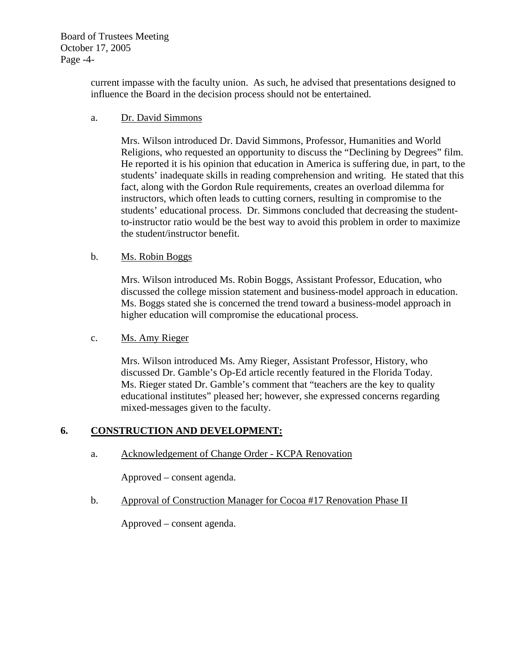Board of Trustees Meeting October 17, 2005 Page -4-

> current impasse with the faculty union. As such, he advised that presentations designed to influence the Board in the decision process should not be entertained.

## a. Dr. David Simmons

Mrs. Wilson introduced Dr. David Simmons, Professor, Humanities and World Religions, who requested an opportunity to discuss the "Declining by Degrees" film. He reported it is his opinion that education in America is suffering due, in part, to the students' inadequate skills in reading comprehension and writing. He stated that this fact, along with the Gordon Rule requirements, creates an overload dilemma for instructors, which often leads to cutting corners, resulting in compromise to the students' educational process. Dr. Simmons concluded that decreasing the studentto-instructor ratio would be the best way to avoid this problem in order to maximize the student/instructor benefit.

## b. Ms. Robin Boggs

Mrs. Wilson introduced Ms. Robin Boggs, Assistant Professor, Education, who discussed the college mission statement and business-model approach in education. Ms. Boggs stated she is concerned the trend toward a business-model approach in higher education will compromise the educational process.

## c. Ms. Amy Rieger

Mrs. Wilson introduced Ms. Amy Rieger, Assistant Professor, History, who discussed Dr. Gamble's Op-Ed article recently featured in the Florida Today. Ms. Rieger stated Dr. Gamble's comment that "teachers are the key to quality educational institutes" pleased her; however, she expressed concerns regarding mixed-messages given to the faculty.

# **6. CONSTRUCTION AND DEVELOPMENT:**

a. Acknowledgement of Change Order - KCPA Renovation

Approved – consent agenda.

b. Approval of Construction Manager for Cocoa #17 Renovation Phase II

Approved – consent agenda.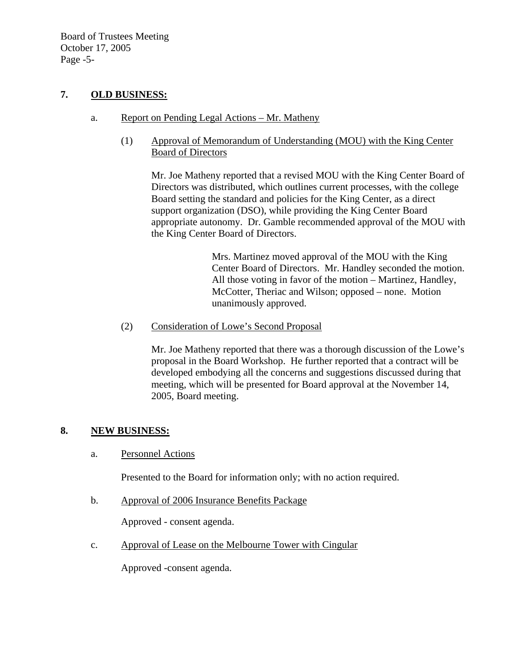Board of Trustees Meeting October 17, 2005 Page -5-

## **7. OLD BUSINESS:**

- a. Report on Pending Legal Actions Mr. Matheny
	- (1) Approval of Memorandum of Understanding (MOU) with the King Center Board of Directors

Mr. Joe Matheny reported that a revised MOU with the King Center Board of Directors was distributed, which outlines current processes, with the college Board setting the standard and policies for the King Center, as a direct support organization (DSO), while providing the King Center Board appropriate autonomy. Dr. Gamble recommended approval of the MOU with the King Center Board of Directors.

> Mrs. Martinez moved approval of the MOU with the King Center Board of Directors. Mr. Handley seconded the motion. All those voting in favor of the motion – Martinez, Handley, McCotter, Theriac and Wilson; opposed – none. Motion unanimously approved.

(2) Consideration of Lowe's Second Proposal

Mr. Joe Matheny reported that there was a thorough discussion of the Lowe's proposal in the Board Workshop. He further reported that a contract will be developed embodying all the concerns and suggestions discussed during that meeting, which will be presented for Board approval at the November 14, 2005, Board meeting.

# **8. NEW BUSINESS:**

a. Personnel Actions

Presented to the Board for information only; with no action required.

b. Approval of 2006 Insurance Benefits Package

Approved - consent agenda.

c. Approval of Lease on the Melbourne Tower with Cingular

Approved -consent agenda.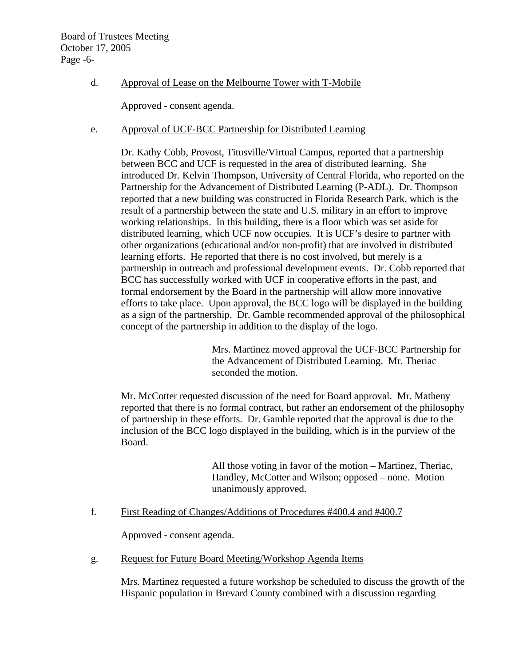# d. Approval of Lease on the Melbourne Tower with T-Mobile

Approved - consent agenda.

## e. Approval of UCF-BCC Partnership for Distributed Learning

Dr. Kathy Cobb, Provost, Titusville/Virtual Campus, reported that a partnership between BCC and UCF is requested in the area of distributed learning. She introduced Dr. Kelvin Thompson, University of Central Florida, who reported on the Partnership for the Advancement of Distributed Learning (P-ADL). Dr. Thompson reported that a new building was constructed in Florida Research Park, which is the result of a partnership between the state and U.S. military in an effort to improve working relationships. In this building, there is a floor which was set aside for distributed learning, which UCF now occupies. It is UCF's desire to partner with other organizations (educational and/or non-profit) that are involved in distributed learning efforts. He reported that there is no cost involved, but merely is a partnership in outreach and professional development events. Dr. Cobb reported that BCC has successfully worked with UCF in cooperative efforts in the past, and formal endorsement by the Board in the partnership will allow more innovative efforts to take place. Upon approval, the BCC logo will be displayed in the building as a sign of the partnership. Dr. Gamble recommended approval of the philosophical concept of the partnership in addition to the display of the logo.

> Mrs. Martinez moved approval the UCF-BCC Partnership for the Advancement of Distributed Learning. Mr. Theriac seconded the motion.

Mr. McCotter requested discussion of the need for Board approval. Mr. Matheny reported that there is no formal contract, but rather an endorsement of the philosophy of partnership in these efforts. Dr. Gamble reported that the approval is due to the inclusion of the BCC logo displayed in the building, which is in the purview of the Board.

> All those voting in favor of the motion – Martinez, Theriac, Handley, McCotter and Wilson; opposed – none. Motion unanimously approved.

## f. First Reading of Changes/Additions of Procedures #400.4 and #400.7

Approved - consent agenda.

g. Request for Future Board Meeting/Workshop Agenda Items

Mrs. Martinez requested a future workshop be scheduled to discuss the growth of the Hispanic population in Brevard County combined with a discussion regarding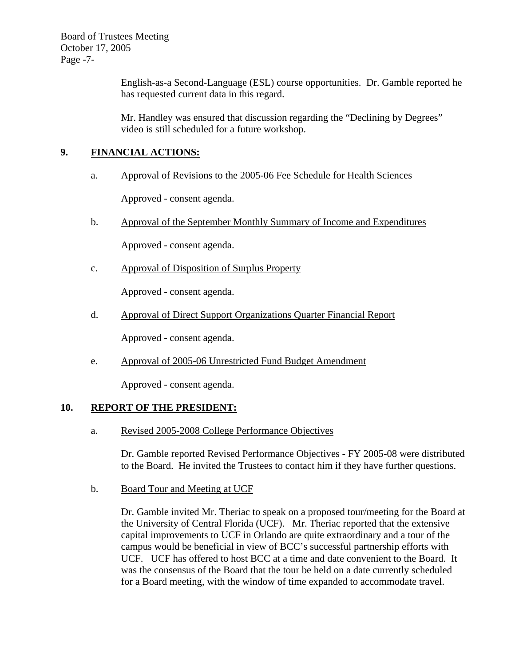Board of Trustees Meeting October 17, 2005 Page -7-

> English-as-a Second-Language (ESL) course opportunities. Dr. Gamble reported he has requested current data in this regard.

Mr. Handley was ensured that discussion regarding the "Declining by Degrees" video is still scheduled for a future workshop.

# **9. FINANCIAL ACTIONS:**

a. Approval of Revisions to the 2005-06 Fee Schedule for Health Sciences

Approved - consent agenda.

b. Approval of the September Monthly Summary of Income and Expenditures

Approved - consent agenda.

c. Approval of Disposition of Surplus Property

Approved - consent agenda.

d. Approval of Direct Support Organizations Quarter Financial Report

Approved - consent agenda.

e. Approval of 2005-06 Unrestricted Fund Budget Amendment

Approved - consent agenda.

# **10. REPORT OF THE PRESIDENT:**

a. Revised 2005-2008 College Performance Objectives

Dr. Gamble reported Revised Performance Objectives - FY 2005-08 were distributed to the Board. He invited the Trustees to contact him if they have further questions.

b. Board Tour and Meeting at UCF

Dr. Gamble invited Mr. Theriac to speak on a proposed tour/meeting for the Board at the University of Central Florida (UCF). Mr. Theriac reported that the extensive capital improvements to UCF in Orlando are quite extraordinary and a tour of the campus would be beneficial in view of BCC's successful partnership efforts with UCF. UCF has offered to host BCC at a time and date convenient to the Board. It was the consensus of the Board that the tour be held on a date currently scheduled for a Board meeting, with the window of time expanded to accommodate travel.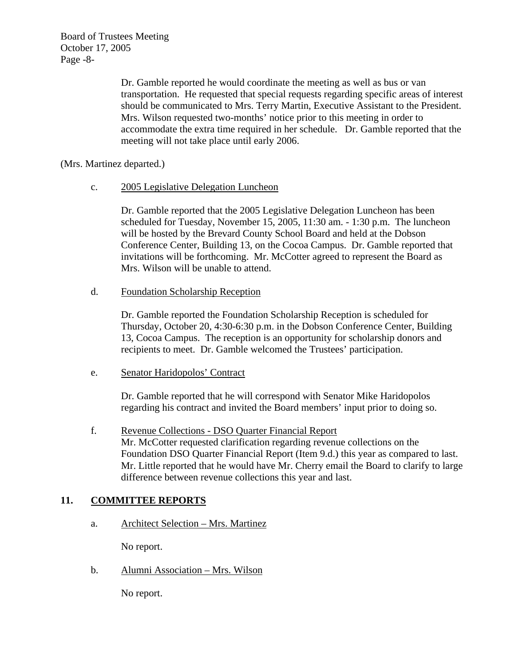Board of Trustees Meeting October 17, 2005 Page -8-

> Dr. Gamble reported he would coordinate the meeting as well as bus or van transportation. He requested that special requests regarding specific areas of interest should be communicated to Mrs. Terry Martin, Executive Assistant to the President. Mrs. Wilson requested two-months' notice prior to this meeting in order to accommodate the extra time required in her schedule. Dr. Gamble reported that the meeting will not take place until early 2006.

(Mrs. Martinez departed.)

c. 2005 Legislative Delegation Luncheon

Dr. Gamble reported that the 2005 Legislative Delegation Luncheon has been scheduled for Tuesday, November 15, 2005, 11:30 am. - 1:30 p.m. The luncheon will be hosted by the Brevard County School Board and held at the Dobson Conference Center, Building 13, on the Cocoa Campus. Dr. Gamble reported that invitations will be forthcoming. Mr. McCotter agreed to represent the Board as Mrs. Wilson will be unable to attend.

d. Foundation Scholarship Reception

Dr. Gamble reported the Foundation Scholarship Reception is scheduled for Thursday, October 20, 4:30-6:30 p.m. in the Dobson Conference Center, Building 13, Cocoa Campus. The reception is an opportunity for scholarship donors and recipients to meet. Dr. Gamble welcomed the Trustees' participation.

e. Senator Haridopolos' Contract

Dr. Gamble reported that he will correspond with Senator Mike Haridopolos regarding his contract and invited the Board members' input prior to doing so.

 f. Revenue Collections - DSO Quarter Financial Report Mr. McCotter requested clarification regarding revenue collections on the Foundation DSO Quarter Financial Report (Item 9.d.) this year as compared to last. Mr. Little reported that he would have Mr. Cherry email the Board to clarify to large difference between revenue collections this year and last.

# **11. COMMITTEE REPORTS**

a. Architect Selection – Mrs. Martinez

No report.

b. Alumni Association – Mrs. Wilson

No report.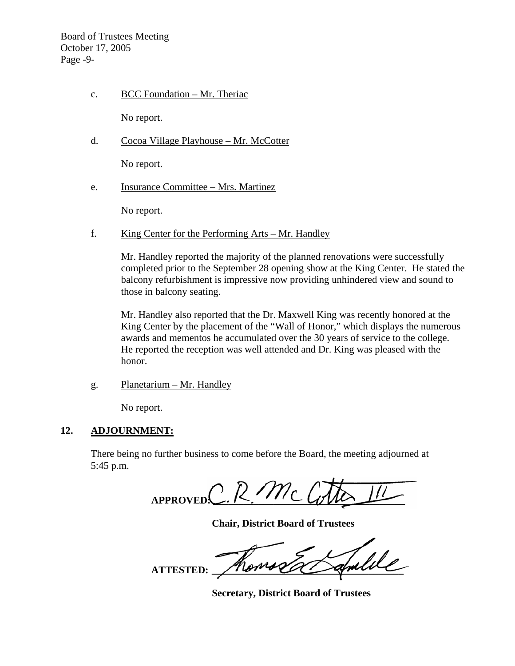Board of Trustees Meeting October 17, 2005 Page -9-

c. BCC Foundation – Mr. Theriac

No report.

d. Cocoa Village Playhouse – Mr. McCotter

No report.

e. Insurance Committee – Mrs. Martinez

No report.

f. King Center for the Performing Arts – Mr. Handley

Mr. Handley reported the majority of the planned renovations were successfully completed prior to the September 28 opening show at the King Center. He stated the balcony refurbishment is impressive now providing unhindered view and sound to those in balcony seating.

Mr. Handley also reported that the Dr. Maxwell King was recently honored at the King Center by the placement of the "Wall of Honor," which displays the numerous awards and mementos he accumulated over the 30 years of service to the college. He reported the reception was well attended and Dr. King was pleased with the honor.

g. Planetarium – Mr. Handley

No report.

## **12. ADJOURNMENT:**

There being no further business to come before the Board, the meeting adjourned at 5:45 p.m.

 $A$ PPROVED $C$ . R. Mc

 **Chair, District Board of Trustees** 

 **ATTESTED: \_\_\_\_\_\_\_\_\_\_\_\_\_\_\_\_\_\_\_\_\_\_\_\_\_\_\_\_\_\_\_\_\_\_\_\_\_\_** 

 **Secretary, District Board of Trustees**